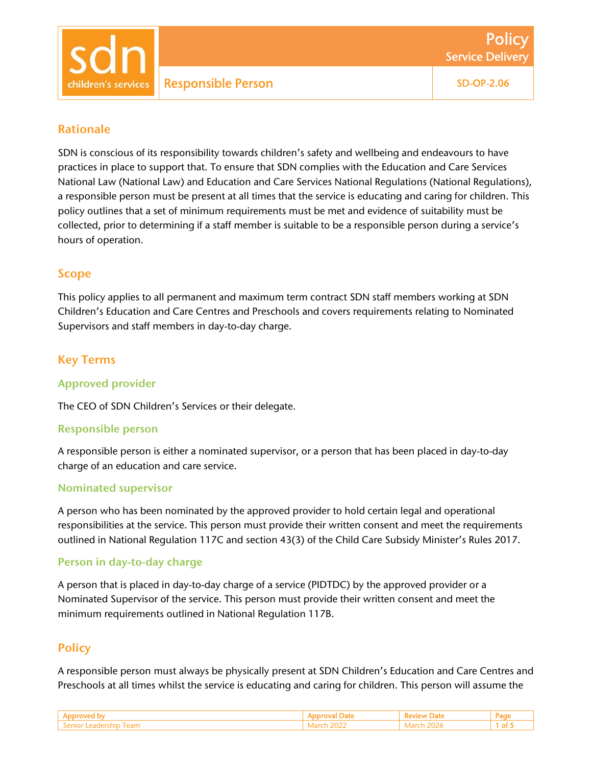Service Delivery

**Policy** 

## Rationale

SDN is conscious of its responsibility towards children's safety and wellbeing and endeavours to have practices in place to support that. To ensure that SDN complies with the Education and Care Services National Law (National Law) and Education and Care Services National Regulations (National Regulations), a responsible person must be present at all times that the service is educating and caring for children. This policy outlines that a set of minimum requirements must be met and evidence of suitability must be collected, prior to determining if a staff member is suitable to be a responsible person during a service's hours of operation.

## Scope

This policy applies to all permanent and maximum term contract SDN staff members working at SDN Children's Education and Care Centres and Preschools and covers requirements relating to Nominated Supervisors and staff members in day-to-day charge.

# Key Terms

#### Approved provider

The CEO of SDN Children's Services or their delegate.

#### Responsible person

A responsible person is either a nominated supervisor, or a person that has been placed in day-to-day charge of an education and care service.

#### Nominated supervisor

A person who has been nominated by the approved provider to hold certain legal and operational responsibilities at the service. This person must provide their written consent and meet the requirements outlined in National Regulation 117C and section 43(3) of the Child Care Subsidy Minister's Rules 2017.

## Person in day-to-day charge

A person that is placed in day-to-day charge of a service (PIDTDC) by the approved provider or a Nominated Supervisor of the service. This person must provide their written consent and meet the minimum requirements outlined in National Regulation 117B.

## **Policy**

A responsible person must always be physically present at SDN Children's Education and Care Centres and Preschools at all times whilst the service is educating and caring for children. This person will assume the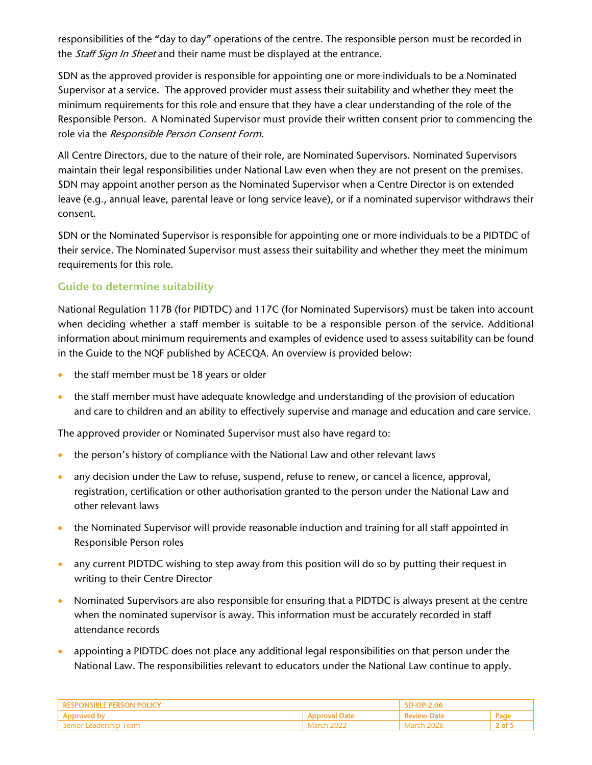responsibilities of the "day to day" operations of the centre. The responsible person must be recorded in the *Staff Sign In Sheet* and their name must be displayed at the entrance.

SDN as the approved provider is responsible for appointing one or more individuals to be a Nominated Supervisor at a service. The approved provider must assess their suitability and whether they meet the minimum requirements for this role and ensure that they have a clear understanding of the role of the Responsible Person. A Nominated Supervisor must provide their written consent prior to commencing the role via the Responsible Person Consent Form.

All Centre Directors, due to the nature of their role, are Nominated Supervisors. Nominated Supervisors maintain their legal responsibilities under National Law even when they are not present on the premises. SDN may appoint another person as the Nominated Supervisor when a Centre Director is on extended leave (e.g., annual leave, parental leave or long service leave), or if a nominated supervisor withdraws their consent.

SDN or the Nominated Supervisor is responsible for appointing one or more individuals to be a PIDTDC of their service. The Nominated Supervisor must assess their suitability and whether they meet the minimum requirements for this role.

# Guide to determine suitability

National Regulation 117B (for PIDTDC) and 117C (for Nominated Supervisors) must be taken into account when deciding whether a staff member is suitable to be a responsible person of the service. Additional information about minimum requirements and examples of evidence used to assess suitability can be found in the Guide to the NQF published by ACECQA. An overview is provided below:

- the staff member must be 18 years or older
- the staff member must have adequate knowledge and understanding of the provision of education and care to children and an ability to effectively supervise and manage and education and care service.

The approved provider or Nominated Supervisor must also have regard to:

- the person's history of compliance with the National Law and other relevant laws
- any decision under the Law to refuse, suspend, refuse to renew, or cancel a licence, approval, registration, certification or other authorisation granted to the person under the National Law and other relevant laws
- the Nominated Supervisor will provide reasonable induction and training for all staff appointed in Responsible Person roles
- any current PIDTDC wishing to step away from this position will do so by putting their request in writing to their Centre Director
- Nominated Supervisors are also responsible for ensuring that a PIDTDC is always present at the centre when the nominated supervisor is away. This information must be accurately recorded in staff attendance records
- appointing a PIDTDC does not place any additional legal responsibilities on that person under the National Law. The responsibilities relevant to educators under the National Law continue to apply.

|  |               | JP-2.VO |     |
|--|---------------|---------|-----|
|  |               |         | Pag |
|  | adarch.<br>20 |         | ി   |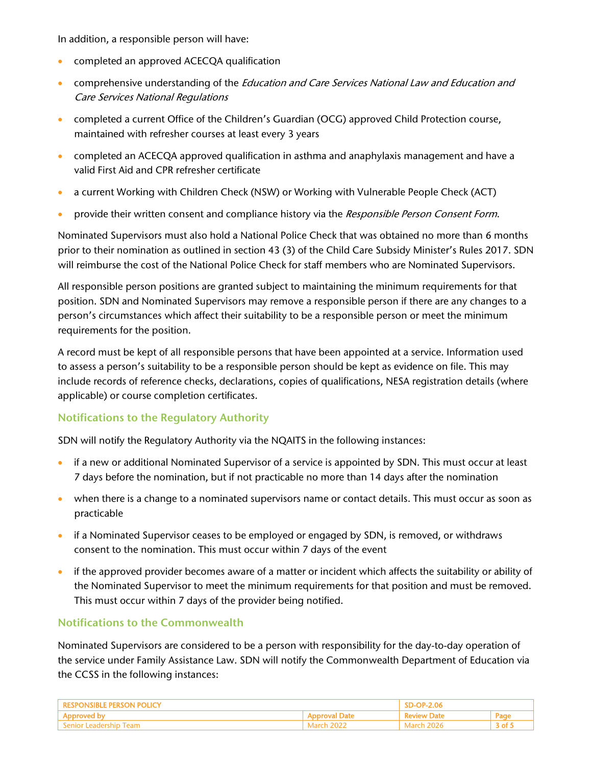In addition, a responsible person will have:

- **•** completed an approved ACECQA qualification
- comprehensive understanding of the *Education and Care Services National Law and Education and* Care Services National Regulations
- completed a current Office of the Children's Guardian (OCG) approved Child Protection course, maintained with refresher courses at least every 3 years
- completed an ACECQA approved qualification in asthma and anaphylaxis management and have a valid First Aid and CPR refresher certificate
- a current Working with Children Check (NSW) or Working with Vulnerable People Check (ACT)
- **•** provide their written consent and compliance history via the *Responsible Person Consent Form*.

Nominated Supervisors must also hold a National Police Check that was obtained no more than 6 months prior to their nomination as outlined in section 43 (3) of the Child Care Subsidy Minister's Rules 2017. SDN will reimburse the cost of the National Police Check for staff members who are Nominated Supervisors.

All responsible person positions are granted subject to maintaining the minimum requirements for that position. SDN and Nominated Supervisors may remove a responsible person if there are any changes to a person's circumstances which affect their suitability to be a responsible person or meet the minimum requirements for the position.

A record must be kept of all responsible persons that have been appointed at a service. Information used to assess a person's suitability to be a responsible person should be kept as evidence on file. This may include records of reference checks, declarations, copies of qualifications, NESA registration details (where applicable) or course completion certificates.

## Notifications to the Regulatory Authority

SDN will notify the Regulatory Authority via the NQAITS in the following instances:

- if a new or additional Nominated Supervisor of a service is appointed by SDN. This must occur at least 7 days before the nomination, but if not practicable no more than 14 days after the nomination
- when there is a change to a nominated supervisors name or contact details. This must occur as soon as practicable
- if a Nominated Supervisor ceases to be employed or engaged by SDN, is removed, or withdraws consent to the nomination. This must occur within 7 days of the event
- if the approved provider becomes aware of a matter or incident which affects the suitability or ability of the Nominated Supervisor to meet the minimum requirements for that position and must be removed. This must occur within 7 days of the provider being notified.

## Notifications to the Commonwealth

Nominated Supervisors are considered to be a person with responsibility for the day-to-day operation of the service under Family Assistance Law. SDN will notify the Commonwealth Department of Education via the CCSS in the following instances:

|                                 |            | 4.06  |        |
|---------------------------------|------------|-------|--------|
|                                 |            |       | ⊻aα⊾   |
| <b>leam</b><br>enior Leadership | March 2022 | Marci | 3 of l |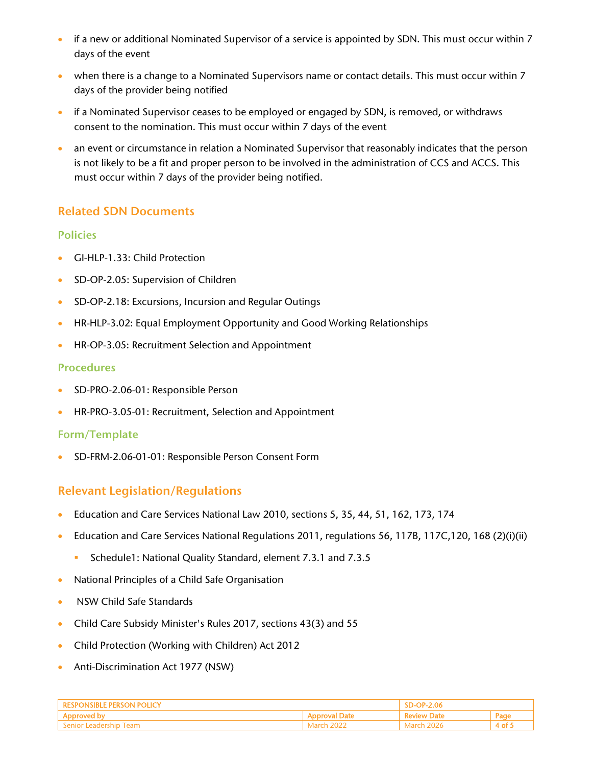- if a new or additional Nominated Supervisor of a service is appointed by SDN. This must occur within 7 days of the event
- when there is a change to a Nominated Supervisors name or contact details. This must occur within 7 days of the provider being notified
- if a Nominated Supervisor ceases to be employed or engaged by SDN, is removed, or withdraws consent to the nomination. This must occur within 7 days of the event
- an event or circumstance in relation a Nominated Supervisor that reasonably indicates that the person is not likely to be a fit and proper person to be involved in the administration of CCS and ACCS. This must occur within 7 days of the provider being notified.

# Related SDN Documents

## Policies

- GI-HLP-1.33: Child Protection
- SD-OP-2.05: Supervision of Children
- SD-OP-2.18: Excursions, Incursion and Regular Outings
- HR-HLP-3.02: Equal Employment Opportunity and Good Working Relationships
- **HR-OP-3.05: Recruitment Selection and Appointment**

## **Procedures**

- **SD-PRO-2.06-01: Responsible Person**
- **HR-PRO-3.05-01: Recruitment, Selection and Appointment**

## Form/Template

SD-FRM-2.06-01-01: Responsible Person Consent Form

# Relevant Legislation/Regulations

- Education and Care Services National Law 2010, sections 5, 35, 44, 51, 162, 173, 174
- Education and Care Services National Regulations 2011, regulations 56, 117B, 117C,120, 168 (2)(i)(ii)
	- Schedule1: National Quality Standard, element 7.3.1 and 7.3.5
- National Principles of a Child Safe Organisation
- NSW Child Safe Standards
- Child Care Subsidy Minister's Rules 2017, sections 43(3) and 55
- Child Protection (Working with Children) Act 2012
- Anti-Discrimination Act 1977 (NSW)

| FRNON.       |       |  |     |
|--------------|-------|--|-----|
|              |       |  | Pag |
| Leadership 1 | Aarch |  |     |